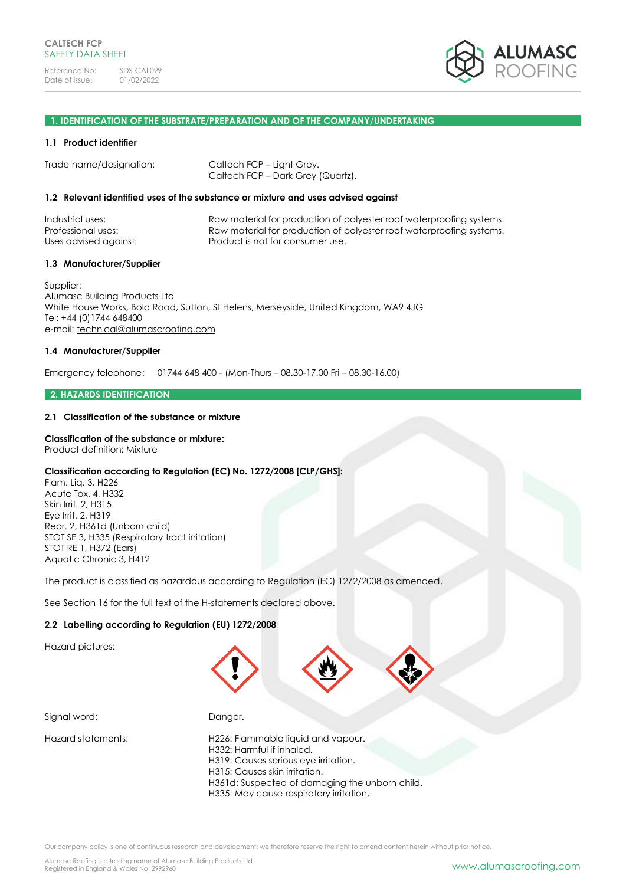

### **1. IDENTIFICATION OF THE SUBSTRATE/PREPARATION AND OF THE COMPANY/UNDERTAKING**

### **1.1 Product identifier**

Trade name/designation: Caltech FCP – Light Grey.

Caltech FCP – Dark Grey (Quartz).

### **1.2 Relevant identified uses of the substance or mixture and uses advised against**

| Raw material for production of polyester roof waterproofing systems.<br>Raw material for production of polyester roof waterproofing systems.<br>Product is not for consumer use. |
|----------------------------------------------------------------------------------------------------------------------------------------------------------------------------------|
|                                                                                                                                                                                  |
|                                                                                                                                                                                  |

### **1.3 Manufacturer/Supplier**

Supplier: Alumasc Building Products Ltd White House Works, Bold Road, Sutton, St Helens, Merseyside, United Kingdom, WA9 4JG Tel: +44 (0)1744 648400 e-mail: [technical@alumascroofing.com](mailto:technical@alumascroofing.com)

### **1.4 Manufacturer/Supplier**

Emergency telephone: 01744 648 400 - (Mon-Thurs – 08.30-17.00 Fri – 08.30-16.00)

#### **2. HAZARDS IDENTIFICATION**

### **2.1 Classification of the substance or mixture**

### **Classification of the substance or mixture:**

Product definition: Mixture

#### **Classification according to Regulation (EC) No. 1272/2008 [CLP/GHS]:**

Flam. Liq. 3, H226 Acute Tox. 4, H332 Skin Irrit. 2, H315 Eye Irrit. 2, H319 Repr. 2, H361d (Unborn child) STOT SE 3, H335 (Respiratory tract irritation) STOT RE 1, H372 (Ears) Aquatic Chronic 3, H412

The product is classified as hazardous according to Regulation (EC) 1272/2008 as amended.

See Section 16 for the full text of the H-statements declared above.

### **2.2 Labelling according to Regulation (EU) 1272/2008**

Hazard pictures:



Signal word: Danger.

Hazard statements: H226: Flammable liquid and vapour. H332: Harmful if inhaled. H319: Causes serious eye irritation. H315: Causes skin irritation. H361d: Suspected of damaging the unborn child. H335: May cause respiratory irritation.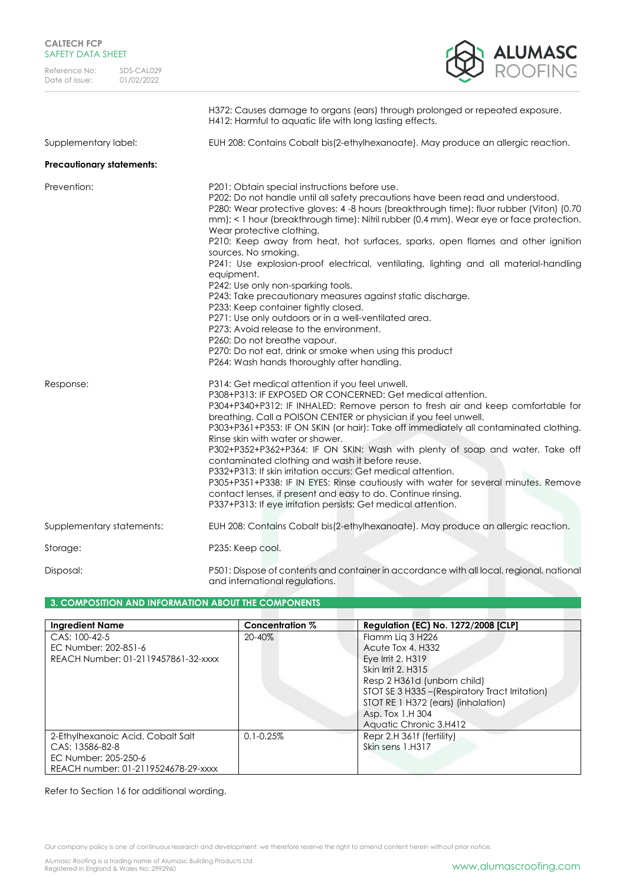| <b>CALTECH FCP</b> |  |  |
|--------------------|--|--|
| SAFETY DATA SHEET  |  |  |



|                                  | H372: Causes damage to organs (ears) through prolonged or repeated exposure.<br>H412: Harmful to aquatic life with long lasting effects.                                                                                                                                                                                                                                                                                                                                                                                                                                                                                                                                                                                                                                                                                                                                                                                                                           |
|----------------------------------|--------------------------------------------------------------------------------------------------------------------------------------------------------------------------------------------------------------------------------------------------------------------------------------------------------------------------------------------------------------------------------------------------------------------------------------------------------------------------------------------------------------------------------------------------------------------------------------------------------------------------------------------------------------------------------------------------------------------------------------------------------------------------------------------------------------------------------------------------------------------------------------------------------------------------------------------------------------------|
| Supplementary label:             | EUH 208: Contains Cobalt bis(2-ethylhexanoate). May produce an allergic reaction.                                                                                                                                                                                                                                                                                                                                                                                                                                                                                                                                                                                                                                                                                                                                                                                                                                                                                  |
| <b>Precautionary statements:</b> |                                                                                                                                                                                                                                                                                                                                                                                                                                                                                                                                                                                                                                                                                                                                                                                                                                                                                                                                                                    |
| Prevention:                      | P201: Obtain special instructions before use.<br>P202: Do not handle until all safety precautions have been read and understood.<br>P280: Wear protective gloves: 4 -8 hours (breakthrough time): fluor rubber (Viton) (0.70<br>mm); < 1 hour (breakthrough time): Nitril rubber (0.4 mm). Wear eye or face protection.<br>Wear protective clothing.<br>P210: Keep away from heat, hot surfaces, sparks, open flames and other ignition<br>sources. No smoking.<br>P241: Use explosion-proof electrical, ventilating, lighting and all material-handling<br>equipment.<br>P242: Use only non-sparking tools.<br>P243: Take precautionary measures against static discharge.<br>P233: Keep container tightly closed.<br>P271: Use only outdoors or in a well-ventilated area.<br>P273: Avoid release to the environment.<br>P260: Do not breathe vapour.<br>P270: Do not eat, drink or smoke when using this product<br>P264: Wash hands thoroughly after handling. |
| Response:                        | P314: Get medical attention if you feel unwell.<br>P308+P313: IF EXPOSED OR CONCERNED: Get medical attention.<br>P304+P340+P312: IF INHALED: Remove person to fresh air and keep comfortable for<br>breathing. Call a POISON CENTER or physician if you feel unwell.<br>P303+P361+P353: IF ON SKIN (or hair): Take off immediately all contaminated clothing.<br>Rinse skin with water or shower.<br>P302+P352+P362+P364: IF ON SKIN: Wash with plenty of soap and water. Take off<br>contaminated clothing and wash it before reuse.<br>P332+P313: If skin irritation occurs: Get medical attention.<br>P305+P351+P338: IF IN EYES: Rinse cautiously with water for several minutes. Remove<br>contact lenses, if present and easy to do. Continue rinsing.<br>P337+P313: If eye irritation persists: Get medical attention.                                                                                                                                      |
| Supplementary statements:        | EUH 208: Contains Cobalt bis(2-ethylhexanoate). May produce an allergic reaction.                                                                                                                                                                                                                                                                                                                                                                                                                                                                                                                                                                                                                                                                                                                                                                                                                                                                                  |
| Storage:                         | P235: Keep cool.                                                                                                                                                                                                                                                                                                                                                                                                                                                                                                                                                                                                                                                                                                                                                                                                                                                                                                                                                   |
| Disposal:                        | P501: Dispose of contents and container in accordance with all local, regional, national                                                                                                                                                                                                                                                                                                                                                                                                                                                                                                                                                                                                                                                                                                                                                                                                                                                                           |

### **3. COMPOSITION AND INFORMATION ABOUT THE COMPONENTS**

| <b>Ingredient Name</b>                                                                                              | Concentration % | <b>Regulation (EC) No. 1272/2008 [CLP]</b>                                                                                                                                                                                                             |
|---------------------------------------------------------------------------------------------------------------------|-----------------|--------------------------------------------------------------------------------------------------------------------------------------------------------------------------------------------------------------------------------------------------------|
| CAS: 100-42-5<br>EC Number: 202-851-6<br>REACH Number: 01-2119457861-32-xxxx                                        | $20 - 40\%$     | Flamm Lig 3 H226<br>Acute Tox 4, H332<br>Eye Irrit 2, H319<br>Skin Irrit 2, H315<br>Resp 2 H361d (unborn child)<br>STOT SE 3 H335 - (Respiratory Tract Irritation)<br>STOT RE 1 H372 (ears) (inhalation)<br>Asp. Tox 1.H 304<br>Aquatic Chronic 3.H412 |
| 2-Ethylhexanoic Acid, Cobalt Salt<br>CAS: 13586-82-8<br>EC Number: 205-250-6<br>REACH number: 01-2119524678-29-xxxx | $0.1 - 0.25\%$  | Repr 2.H 361f (fertility)<br>Skin sens 1.H317                                                                                                                                                                                                          |

### Refer to Section 16 for additional wording.

Our company policy is one of continuous research and development; we therefore reserve the right to amend content herein without prior notice.

and international regulations.

Alumasc Roofing is a trading name of Alumasc Building Products Ltd<br>Registered in England & Wales No: 2992960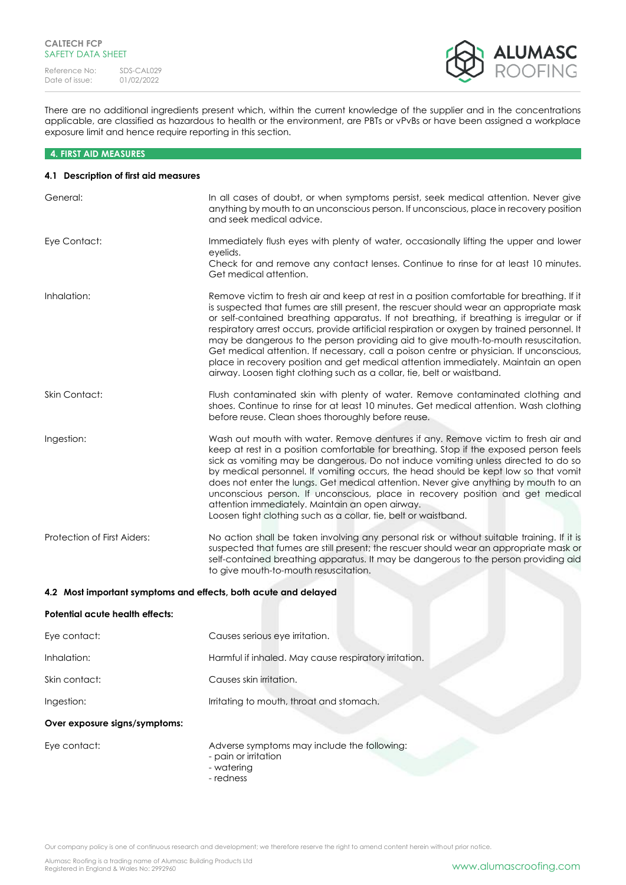

There are no additional ingredients present which, within the current knowledge of the supplier and in the concentrations applicable, are classified as hazardous to health or the environment, are PBTs or vPvBs or have been assigned a workplace exposure limit and hence require reporting in this section.

### **4. FIRST AID MEASURES**

### **4.1 Description of first aid measures**

| General:                                                        | In all cases of doubt, or when symptoms persist, seek medical attention. Never give<br>anything by mouth to an unconscious person. If unconscious, place in recovery position<br>and seek medical advice.                                                                                                                                                                                                                                                                                                                                                                                                                                                                                                                          |
|-----------------------------------------------------------------|------------------------------------------------------------------------------------------------------------------------------------------------------------------------------------------------------------------------------------------------------------------------------------------------------------------------------------------------------------------------------------------------------------------------------------------------------------------------------------------------------------------------------------------------------------------------------------------------------------------------------------------------------------------------------------------------------------------------------------|
| Eye Contact:                                                    | Immediately flush eyes with plenty of water, occasionally lifting the upper and lower<br>eyelids.<br>Check for and remove any contact lenses. Continue to rinse for at least 10 minutes.<br>Get medical attention.                                                                                                                                                                                                                                                                                                                                                                                                                                                                                                                 |
| Inhalation:                                                     | Remove victim to fresh air and keep at rest in a position comfortable for breathing. If it<br>is suspected that fumes are still present, the rescuer should wear an appropriate mask<br>or self-contained breathing apparatus. If not breathing, if breathing is irregular or if<br>respiratory arrest occurs, provide artificial respiration or oxygen by trained personnel. It<br>may be dangerous to the person providing aid to give mouth-to-mouth resuscitation.<br>Get medical attention. If necessary, call a poison centre or physician. If unconscious,<br>place in recovery position and get medical attention immediately. Maintain an open<br>airway. Loosen tight clothing such as a collar, tie, belt or waistband. |
| Skin Contact:                                                   | Flush contaminated skin with plenty of water. Remove contaminated clothing and<br>shoes. Continue to rinse for at least 10 minutes. Get medical attention. Wash clothing<br>before reuse. Clean shoes thoroughly before reuse.                                                                                                                                                                                                                                                                                                                                                                                                                                                                                                     |
| Ingestion:                                                      | Wash out mouth with water. Remove dentures if any. Remove victim to fresh air and<br>keep at rest in a position comfortable for breathing. Stop if the exposed person feels<br>sick as vomiting may be dangerous. Do not induce vomiting unless directed to do so<br>by medical personnel. If vomiting occurs, the head should be kept low so that vomit<br>does not enter the lungs. Get medical attention. Never give anything by mouth to an<br>unconscious person. If unconscious, place in recovery position and get medical<br>attention immediately. Maintain an open airway.<br>Loosen tight clothing such as a collar, tie, belt or waistband.                                                                            |
| Protection of First Aiders:                                     | No action shall be taken involving any personal risk or without suitable training. If it is<br>suspected that fumes are still present; the rescuer should wear an appropriate mask or<br>self-contained breathing apparatus. It may be dangerous to the person providing aid<br>to give mouth-to-mouth resuscitation.                                                                                                                                                                                                                                                                                                                                                                                                              |
| 4.2 Most important symptoms and effects, both acute and delayed |                                                                                                                                                                                                                                                                                                                                                                                                                                                                                                                                                                                                                                                                                                                                    |
| Potential acute health effects:                                 |                                                                                                                                                                                                                                                                                                                                                                                                                                                                                                                                                                                                                                                                                                                                    |
| Eye contact:                                                    | Causes serious eye irritation.                                                                                                                                                                                                                                                                                                                                                                                                                                                                                                                                                                                                                                                                                                     |

| Inhalation:   | Harmful if inhaled. May cause respiratory irritation. |
|---------------|-------------------------------------------------------|
| Skin contact: | Causes skin irritation.                               |
| Ingestion:    | Irritating to mouth, throat and stomach.              |

### **Over exposure signs/symptoms:**

Eye contact:  $\blacksquare$  Adverse symptoms may include the following:

- pain or irritation
- watering
- redness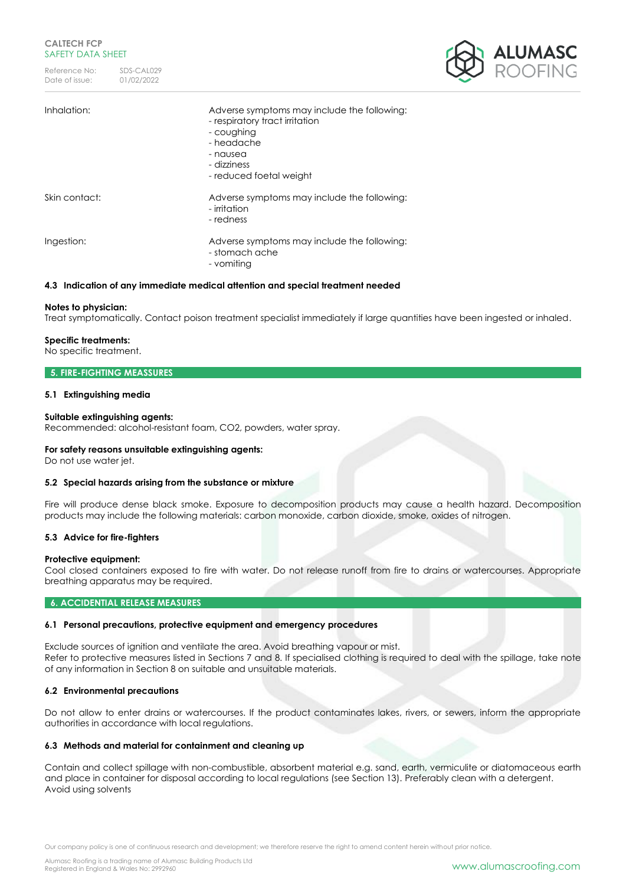Reference No: SDS-CAL029<br>Date of issue: 01/02/2022 Date of issue:



| Inhalation:   | Adverse symptoms may include the following:<br>- respiratory tract irritation<br>- coughing<br>- headache<br>- nausea<br>- dizziness<br>- reduced foetal weight |
|---------------|-----------------------------------------------------------------------------------------------------------------------------------------------------------------|
| Skin contact: | Adverse symptoms may include the following:<br>- irritation<br>- redness                                                                                        |
| Ingestion:    | Adverse symptoms may include the following:<br>- stomach ache<br>- vomiting                                                                                     |

### **4.3 Indication of any immediate medical attention and special treatment needed**

### **Notes to physician:**

Treat symptomatically. Contact poison treatment specialist immediately if large quantities have been ingested or inhaled.

### **Specific treatments:**

No specific treatment.

### **5. FIRE-FIGHTING MEASSURES**

### **5.1 Extinguishing media**

### **Suitable extinguishing agents:**

Recommended: alcohol-resistant foam, CO2, powders, water spray.

#### **For safety reasons unsuitable extinguishing agents:**

Do not use water jet.

#### **5.2 Special hazards arising from the substance or mixture**

Fire will produce dense black smoke. Exposure to decomposition products may cause a health hazard. Decomposition products may include the following materials: carbon monoxide, carbon dioxide, smoke, oxides of nitrogen.

#### **5.3 Advice for fire-fighters**

#### **Protective equipment:**

Cool closed containers exposed to fire with water. Do not release runoff from fire to drains or watercourses. Appropriate breathing apparatus may be required.

### **6. ACCIDENTIAL RELEASE MEASURES**

#### **6.1 Personal precautions, protective equipment and emergency procedures**

Exclude sources of ignition and ventilate the area. Avoid breathing vapour or mist. Refer to protective measures listed in Sections 7 and 8. If specialised clothing is required to deal with the spillage, take note of any information in Section 8 on suitable and unsuitable materials.

### **6.2 Environmental precautions**

Do not allow to enter drains or watercourses. If the product contaminates lakes, rivers, or sewers, inform the appropriate authorities in accordance with local regulations.

### **6.3 Methods and material for containment and cleaning up**

Contain and collect spillage with non-combustible, absorbent material e.g. sand, earth, vermiculite or diatomaceous earth and place in container for disposal according to local regulations (see Section 13). Preferably clean with a detergent. Avoid using solvents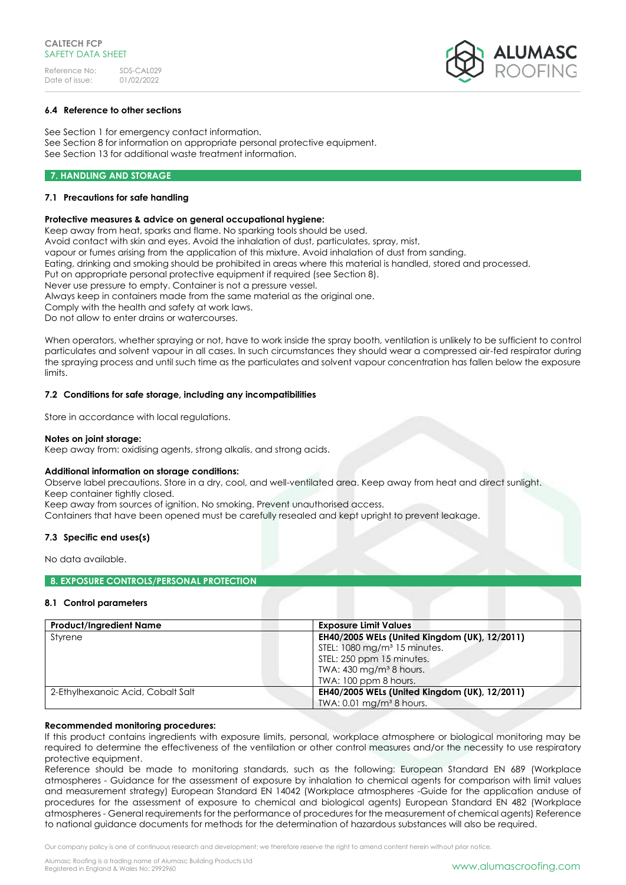

### **6.4 Reference to other sections**

See Section 1 for emergency contact information. See Section 8 for information on appropriate personal protective equipment. See Section 13 for additional waste treatment information.

### **7. HANDLING AND STORAGE**

### **7.1 Precautions for safe handling**

### **Protective measures & advice on general occupational hygiene:**

Keep away from heat, sparks and flame. No sparking tools should be used. Avoid contact with skin and eyes. Avoid the inhalation of dust, particulates, spray, mist, vapour or fumes arising from the application of this mixture. Avoid inhalation of dust from sanding. Eating, drinking and smoking should be prohibited in areas where this material is handled, stored and processed. Put on appropriate personal protective equipment if required (see Section 8). Never use pressure to empty. Container is not a pressure vessel. Always keep in containers made from the same material as the original one. Comply with the health and safety at work laws. Do not allow to enter drains or watercourses.

When operators, whether spraying or not, have to work inside the spray booth, ventilation is unlikely to be sufficient to control particulates and solvent vapour in all cases. In such circumstances they should wear a compressed air-fed respirator during the spraying process and until such time as the particulates and solvent vapour concentration has fallen below the exposure limits.

### **7.2 Conditions for safe storage, including any incompatibilities**

Store in accordance with local regulations.

### **Notes on joint storage:**

Keep away from: oxidising agents, strong alkalis, and strong acids.

### **Additional information on storage conditions:**

Observe label precautions. Store in a dry, cool, and well-ventilated area. Keep away from heat and direct sunlight. Keep container tightly closed.

Keep away from sources of ignition. No smoking. Prevent unauthorised access.

Containers that have been opened must be carefully resealed and kept upright to prevent leakage.

### **7.3 Specific end uses(s)**

No data available.

### **8. EXPOSURE CONTROLS/PERSONAL PROTECTION**

### **8.1 Control parameters**

| <b>Product/Ingredient Name</b>    | <b>Exposure Limit Values</b>                  |
|-----------------------------------|-----------------------------------------------|
| Styrene                           | EH40/2005 WELs (United Kingdom (UK), 12/2011) |
|                                   | STEL: 1080 mg/m <sup>3</sup> 15 minutes.      |
|                                   | STEL: 250 ppm 15 minutes.                     |
|                                   | TWA: $430 \text{ mg/m}^3$ 8 hours.            |
|                                   | TWA: 100 ppm 8 hours.                         |
| 2-Ethylhexanoic Acid, Cobalt Salt | EH40/2005 WELs (United Kingdom (UK), 12/2011) |
|                                   | TWA: $0.01$ mg/m <sup>3</sup> 8 hours.        |

#### **Recommended monitoring procedures:**

If this product contains ingredients with exposure limits, personal, workplace atmosphere or biological monitoring may be required to determine the effectiveness of the ventilation or other control measures and/or the necessity to use respiratory protective equipment.

Reference should be made to monitoring standards, such as the following: European Standard EN 689 (Workplace atmospheres - Guidance for the assessment of exposure by inhalation to chemical agents for comparison with limit values and measurement strategy) European Standard EN 14042 (Workplace atmospheres -Guide for the application anduse of procedures for the assessment of exposure to chemical and biological agents) European Standard EN 482 (Workplace atmospheres - General requirements for the performance of procedures for the measurement of chemical agents) Reference to national guidance documents for methods for the determination of hazardous substances will also be required.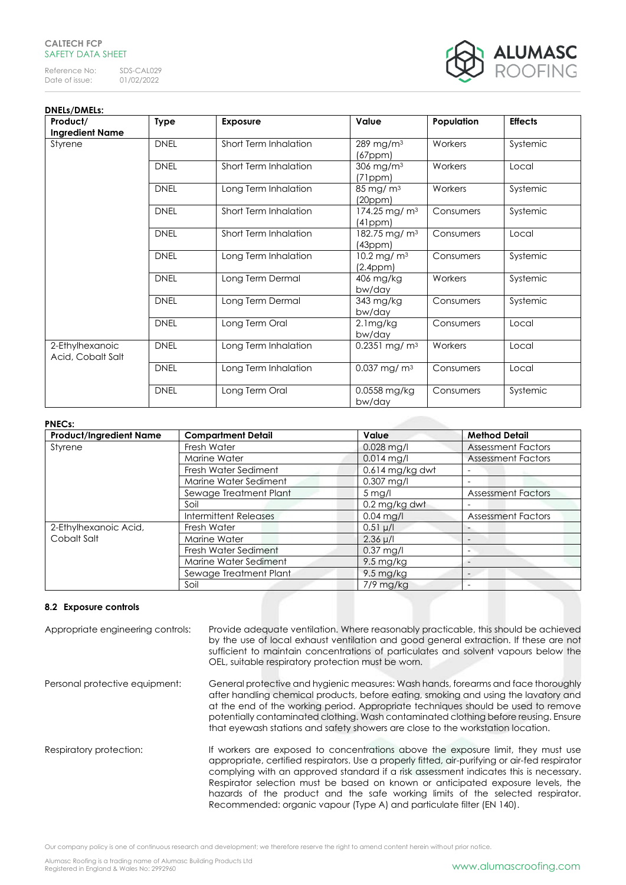### **CALTECH FCP** SAFFTY DATA SHFFT

Reference No: SDS-CAL029<br>Date of issue: 01/02/2022 Date of issue:



#### **DNELs/DMELs: Product/ Ingredient Name Type Exposure Value Population Effects** Styrene **DNEL** Short Term Inhalation 289 mg/m<sup>3</sup> (67ppm) Workers Systemic DNEL Short Term Inhalation 306 mg/m<sup>3</sup> (71ppm) Workers Local DNEL Long Term Inhalation 85 mg/ m<sup>3</sup> (20ppm) Workers Systemic DNEL Short Term Inhalation 174.25 mg/ m<sup>3</sup> (41ppm) Consumers Systemic DNEL Short Term Inhalation 182.75 mg/ m<sup>3</sup> (43ppm) Consumers | Local DNEL Long Term Inhalation 10.2 mg/ m<sup>3</sup> (2.4ppm)<br>406 mg/kg Consumers Systemic DNEL Long Term Dermal bw/day<br>343 mg/kg Workers Systemic DNEL | Long Term Dermal bw/day Consumers Systemic DNEL | Long Term Oral | 2.1mg/kg bw/day Consumers Local 2-Ethylhexanoic Acid, Cobalt Salt DNEL Long Term Inhalation 0.2351 mg/ m<sup>3</sup> Workers Local DNEL Long Term Inhalation 0.037 mg/ m<sup>3</sup> Consumers Local DNEL | Long Term Oral | 0.0558 mg/kg bw/day Consumers Systemic

### **PNECs:**

| <b>Product/Ingredient Name</b> | <b>Compartment Detail</b> | Value                  | <b>Method Detail</b>      |
|--------------------------------|---------------------------|------------------------|---------------------------|
| Styrene                        | Fresh Water               | $0.028$ mg/l           | <b>Assessment Factors</b> |
|                                | Marine Water              | $0.014$ mg/l           | <b>Assessment Factors</b> |
|                                | Fresh Water Sediment      | $0.614$ mg/kg dwt      |                           |
|                                | Marine Water Sediment     | $0.307$ mg/l           |                           |
|                                | Sewage Treatment Plant    | $5$ mg/l               | <b>Assessment Factors</b> |
|                                | Soil                      | 0.2 mg/kg dwt          |                           |
|                                | Intermittent Releases     | $0.04$ mg/l            | <b>Assessment Factors</b> |
| 2-Ethylhexanoic Acid,          | Fresh Water               | $0.51 \mu/l$           |                           |
| Cobalt Salt                    | Marine Water              | $2.36 \mu/l$           |                           |
|                                | Fresh Water Sediment      | $0.37$ mg/l            |                           |
|                                | Marine Water Sediment     | $9.5 \,\mathrm{mg/kg}$ |                           |
|                                | Sewage Treatment Plant    | $9.5 \,\mathrm{mg/kg}$ |                           |
|                                | Soil                      | $7/9$ mg/kg            |                           |

### **8.2 Exposure controls**

| Appropriate engineering controls: | Provide adequate ventilation. Where reasonably practicable, this should be achieved<br>by the use of local exhaust ventilation and good general extraction. If these are not<br>sufficient to maintain concentrations of particulates and solvent vapours below the<br>OEL, suitable respiratory protection must be worn.                                                                                                                                                                                                 |
|-----------------------------------|---------------------------------------------------------------------------------------------------------------------------------------------------------------------------------------------------------------------------------------------------------------------------------------------------------------------------------------------------------------------------------------------------------------------------------------------------------------------------------------------------------------------------|
| Personal protective equipment:    | General protective and hygienic measures: Wash hands, forearms and face thoroughly<br>after handling chemical products, before eating, smoking and using the lavatory and<br>at the end of the working period. Appropriate techniques should be used to remove<br>potentially contaminated clothing. Wash contaminated clothing before reusing. Ensure<br>that eyewash stations and safety showers are close to the workstation location.                                                                                 |
| Respiratory protection:           | If workers are exposed to concentrations above the exposure limit, they must use<br>appropriate, certified respirators. Use a properly fitted, air-purifying or air-fed respirator<br>complying with an approved standard if a risk assessment indicates this is necessary.<br>Respirator selection must be based on known or anticipated exposure levels, the<br>hazards of the product and the safe working limits of the selected respirator.<br>Recommended: organic vapour (Type A) and particulate filter (EN 140). |

Our company policy is one of continuous research and development; we therefore reserve the right to amend content herein without prior notice.

Alumasc Roofing is a trading name of Alumasc Building Products Ltd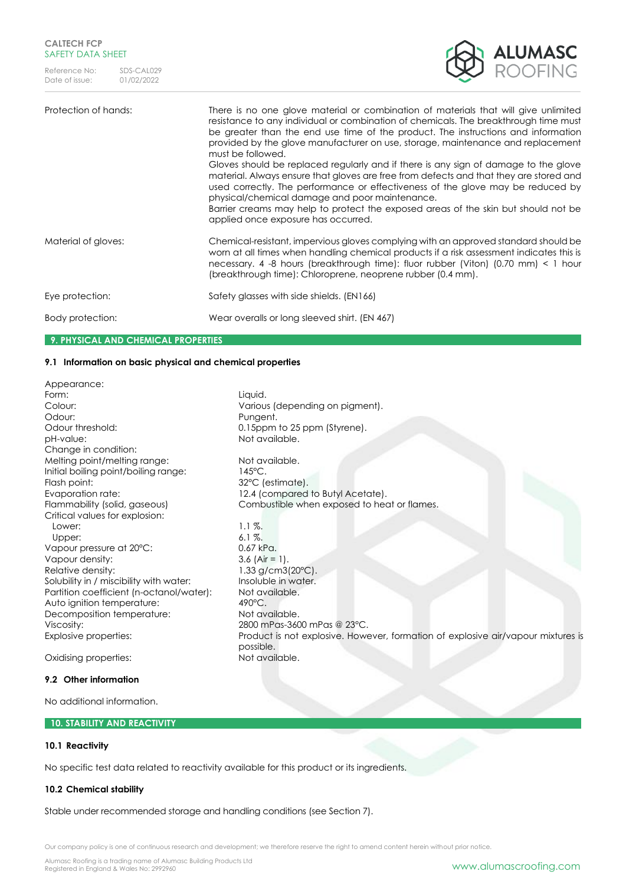

## Protection of hands: There is no one glove material or combination of materials that will give unlimited resistance to any individual or combination of chemicals. The breakthrough time must be greater than the end use time of the product. The instructions and information provided by the glove manufacturer on use, storage, maintenance and replacement must be followed. Gloves should be replaced regularly and if there is any sign of damage to the glove material. Always ensure that gloves are free from defects and that they are stored and used correctly. The performance or effectiveness of the glove may be reduced by physical/chemical damage and poor maintenance. Barrier creams may help to protect the exposed areas of the skin but should not be applied once exposure has occurred. Material of gloves: Chemical-resistant, impervious gloves complying with an approved standard should be worn at all times when handling chemical products if a risk assessment indicates this is necessary. 4 -8 hours (breakthrough time): fluor rubber (Viton) (0.70 mm) < 1 hour (breakthrough time): Chloroprene, neoprene rubber (0.4 mm). Eye protection: Safety glasses with side shields. (EN166) Body protection: Wear overalls or long sleeved shirt. (EN 467)

### **9. PHYSICAL AND CHEMICAL PROPERTIES**

### **9.1 Information on basic physical and chemical properties**

Appearance: Form: Liquid. Colour: Various (depending on pigment). Odour: Pungent. Odour threshold: 0.15ppm to 25 ppm (Styrene). pH-value: Not available. Change in condition: Melting point/melting range: Not available. Initial boiling point/boiling range: 145°C. Flash point: 32°C (estimate). Evaporation rate: 12.4 (compared to Butyl Acetate). Flammability (solid, gaseous) Combustible when exposed to heat or flames. Critical values for explosion: Lower: 1.1 %. Upper:  $6.1\%$ . Vapour pressure at 20°C: 0.67 kPa. Vapour density:  $3.6$  (Air = 1). Relative density: 1.33 g/cm3(20°C). Solubility in / miscibility with water: Insoluble in water. Partition coefficient (n-octanol/water): Not available.<br>Auto ianition temperature: 490°C. Auto ignition temperature: Decomposition temperature: Not available. Viscosity: 2800 mPas-3600 mPas @ 23°C. Explosive properties: Product is not explosive. However, formation of explosive air/vapour mixtures is possible. Oxidising properties: Not available. **9.2 Other information**

No additional information.

### **10. STABILITY AND REACTIVITY**

### **10.1 Reactivity**

No specific test data related to reactivity available for this product or its ingredients.

### **10.2 Chemical stability**

Stable under recommended storage and handling conditions (see Section 7).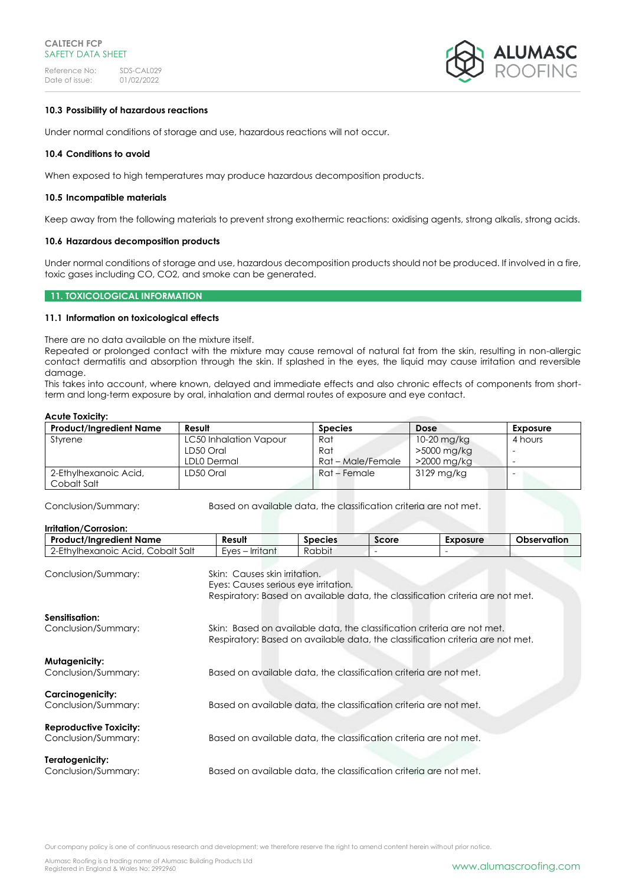

### **10.3 Possibility of hazardous reactions**

Under normal conditions of storage and use, hazardous reactions will not occur.

### **10.4 Conditions to avoid**

When exposed to high temperatures may produce hazardous decomposition products.

### **10.5 Incompatible materials**

Keep away from the following materials to prevent strong exothermic reactions: oxidising agents, strong alkalis, strong acids.

### **10.6 Hazardous decomposition products**

Under normal conditions of storage and use, hazardous decomposition products should not be produced. If involved in a fire, toxic gases including CO, CO2, and smoke can be generated.

### **11. TOXICOLOGICAL INFORMATION**

### **11.1 Information on toxicological effects**

There are no data available on the mixture itself.

Repeated or prolonged contact with the mixture may cause removal of natural fat from the skin, resulting in non-allergic contact dermatitis and absorption through the skin. If splashed in the eyes, the liquid may cause irritation and reversible damage.

This takes into account, where known, delayed and immediate effects and also chronic effects of components from shortterm and long-term exposure by oral, inhalation and dermal routes of exposure and eye contact.

#### **Acute Toxicity:**

| <b>Product/Ingredient Name</b> | Result                 | <b>Species</b>    | <b>Dose</b> | Exposure |
|--------------------------------|------------------------|-------------------|-------------|----------|
| Styrene                        | LC50 Inhalation Vapour | Rat               | 10-20 mg/kg | 4 hours  |
|                                | LD50 Oral              | Rat               | >5000 mg/kg |          |
|                                | LDL0 Dermal            | Rat – Male/Female | >2000 mg/kg |          |
| 2-Ethylhexanoic Acid,          | LD50 Oral              | Rat – Female      | 3129 mg/kg  | -        |
| Cobalt Salt                    |                        |                   |             |          |

Conclusion/Summary: Based on available data, the classification criteria are not met.

| Irritation/Corrosion:                                |                                                                                                                                                           |                |                          |                 |                    |
|------------------------------------------------------|-----------------------------------------------------------------------------------------------------------------------------------------------------------|----------------|--------------------------|-----------------|--------------------|
| <b>Product/Ingredient Name</b>                       | Result                                                                                                                                                    | <b>Species</b> | Score                    | <b>Exposure</b> | <b>Observation</b> |
| 2-Ethylhexanoic Acid, Cobalt Salt                    | Eyes – Irritant                                                                                                                                           | Rabbit         | $\overline{\phantom{0}}$ |                 |                    |
| Conclusion/Summary:                                  | Skin: Causes skin irritation.<br>Eyes: Causes serious eye irritation.<br>Respiratory: Based on available data, the classification criteria are not met.   |                |                          |                 |                    |
| Sensitisation:<br>Conclusion/Summary:                | Skin: Based on available data, the classification criteria are not met.<br>Respiratory: Based on available data, the classification criteria are not met. |                |                          |                 |                    |
| Mutagenicity:<br>Conclusion/Summary:                 | Based on available data, the classification criteria are not met.                                                                                         |                |                          |                 |                    |
| <b>Carcinogenicity:</b><br>Conclusion/Summary:       | Based on available data, the classification criteria are not met.                                                                                         |                |                          |                 |                    |
| <b>Reproductive Toxicity:</b><br>Conclusion/Summary: | Based on available data, the classification criteria are not met.                                                                                         |                |                          |                 |                    |
| Teratogenicity:<br>Conclusion/Summary:               | Based on available data, the classification criteria are not met.                                                                                         |                |                          |                 |                    |

Our company policy is one of continuous research and development; we therefore reserve the right to amend content herein without prior notice.

Alumasc Roofing is a trading name of Alumasc Building Products Ltd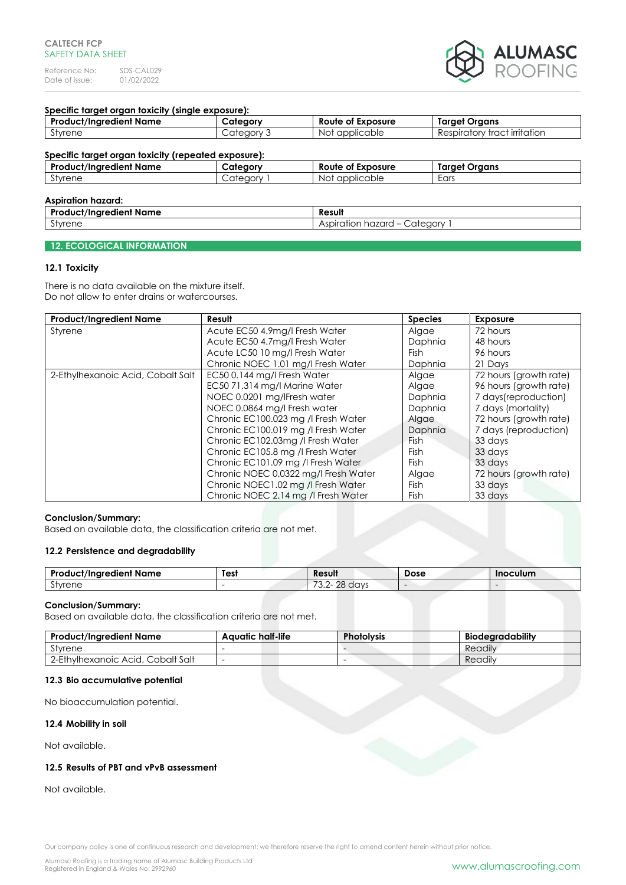Reference No: SDS-CAL029<br>Date of issue: 01/02/2022 Date of issue:



### **Specific target organ toxicity (single exposure):**

| <b>Product/Ingredient Name</b>                                                        | Category   | Route of Exposure | <b>Target Organs</b>         |
|---------------------------------------------------------------------------------------|------------|-------------------|------------------------------|
| Styrene                                                                               | Category 3 | Not applicable    | Respiratory tract irritation |
| Specific target organ toxicity (repeated exposure):<br><b>Product/Ingredient Name</b> | Category   | Route of Exposure | <b>Target Organs</b>         |
| Styrene                                                                               | Category 1 | Not applicable    | Ears                         |
| Acniration hazard:                                                                    |            |                   |                              |

| ASDII UNUN NUZULU.               |                                                            |  |
|----------------------------------|------------------------------------------------------------|--|
| <br>. د ۵<br>uct/Inaredient Name | Result                                                     |  |
| $\sim$ $\cdot$<br>Styrene        | `ateann<br>hazard<br>Aspiration<br>$\cdots$<br>$\check{ }$ |  |

### **12. ECOLOGICAL INFORMATION**

### **12.1 Toxicity**

There is no data available on the mixture itself. Do not allow to enter drains or watercourses.

| <b>Product/Ingredient Name</b>    | Result                               | <b>Species</b> | <b>Exposure</b>        |
|-----------------------------------|--------------------------------------|----------------|------------------------|
| Styrene                           | Acute EC50 4.9mg/l Fresh Water       | Algae          | 72 hours               |
|                                   | Acute EC50 4.7mg/l Fresh Water       | Daphnia        | 48 hours               |
|                                   | Acute LC50 10 mg/l Fresh Water       | Fish.          | 96 hours               |
|                                   | Chronic NOEC 1.01 mg/l Fresh Water   | Daphnia        | 21 Days                |
| 2-Ethylhexanoic Acid, Cobalt Salt | EC50 0.144 mg/l Fresh Water          | Algae          | 72 hours (growth rate) |
|                                   | EC50 71.314 mg/l Marine Water        | Algae          | 96 hours (growth rate) |
|                                   | NOEC 0.0201 mg/lFresh water          | Daphnia        | 7 days(reproduction)   |
|                                   | NOEC 0.0864 mg/l Fresh water         | Daphnia        | 7 days (mortality)     |
|                                   | Chronic EC100.023 mg /l Fresh Water  | Algae          | 72 hours (growth rate) |
|                                   | Chronic EC100.019 mg /l Fresh Water  | Daphnia        | 7 days (reproduction)  |
|                                   | Chronic EC102.03mg / Fresh Water     | <b>Fish</b>    | 33 days                |
|                                   | Chronic EC105.8 mg /l Fresh Water    | Fish           | 33 days                |
|                                   | Chronic EC101.09 mg /l Fresh Water   | <b>Fish</b>    | 33 days                |
|                                   | Chronic NOEC 0.0322 mg/l Fresh Water | Algae          | 72 hours (growth rate) |
|                                   | Chronic NOEC1.02 mg /l Fresh Water   | <b>Fish</b>    | 33 days                |
|                                   | Chronic NOEC 2.14 mg / Fresh Water   | Fish           | 33 days                |

### **Conclusion/Summary:**

Based on available data, the classification criteria are not met.

### **12.2 Persistence and degradability**

| <b>Dro</b><br>luct/Inaredient Name | Test | Result                                              | Dose | <b>Inoculum</b> |
|------------------------------------|------|-----------------------------------------------------|------|-----------------|
| $\sim$<br>tvrene                   |      | $\overline{\phantom{0}}$<br>ററ<br>davs<br>U.L<br>∸∽ |      |                 |

### **Conclusion/Summary:**

Based on available data, the classification criteria are not met.

| <b>Product/Ingredient Name</b>    | Aquatic half-life | <b>Photolysis</b> | <b>Biodearadability</b> |
|-----------------------------------|-------------------|-------------------|-------------------------|
| Styrene                           |                   |                   | Readily                 |
| 2-Ethylhexanoic Acid, Cobalt Salt |                   |                   | Readily                 |

### **12.3 Bio accumulative potential**

No bioaccumulation potential.

### **12.4 Mobility in soil**

Not available.

### **12.5 Results of PBT and vPvB assessment**

Not available.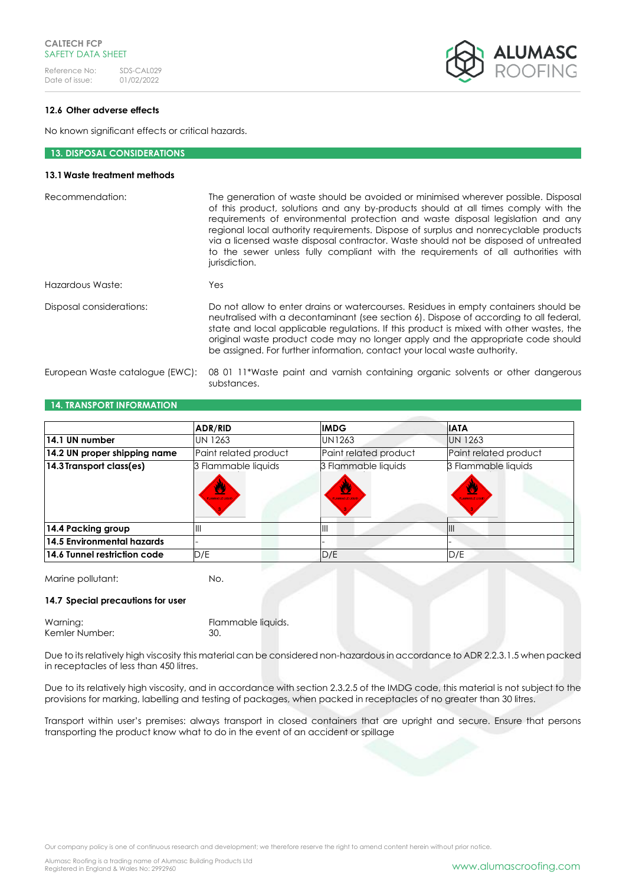Reference No: SDS-CAL029<br>Date of issue: 01/02/2022 Date of issue:



### **12.6 Other adverse effects**

No known significant effects or critical hazards.

### **13. DISPOSAL CONSIDERATIONS**

### **13.1Waste treatment methods**

| Recommendation:                 | The generation of waste should be avoided or minimised wherever possible. Disposal<br>of this product, solutions and any by-products should at all times comply with the<br>requirements of environmental protection and waste disposal legislation and any<br>regional local authority requirements. Dispose of surplus and nonrecyclable products<br>via a licensed waste disposal contractor. Waste should not be disposed of untreated<br>to the sewer unless fully compliant with the requirements of all authorities with<br>jurisdiction. |
|---------------------------------|--------------------------------------------------------------------------------------------------------------------------------------------------------------------------------------------------------------------------------------------------------------------------------------------------------------------------------------------------------------------------------------------------------------------------------------------------------------------------------------------------------------------------------------------------|
| Hazardous Waste:                | Yes                                                                                                                                                                                                                                                                                                                                                                                                                                                                                                                                              |
| Disposal considerations:        | Do not allow to enter drains or watercourses. Residues in empty containers should be<br>neutralised with a decontaminant (see section 6). Dispose of according to all federal,<br>state and local applicable regulations. If this product is mixed with other wastes, the<br>original waste product code may no longer apply and the appropriate code should<br>be assigned. For further information, contact your local waste authority.                                                                                                        |
| European Waste catalogue (EWC): | 08 01 11*Waste paint and varnish containing organic solvents or other dangerous<br>substances.                                                                                                                                                                                                                                                                                                                                                                                                                                                   |

# **ADR/RID IMDG IATA 14.1 UN number** UN 1263 UN1263 UN 1263 14.2 UN proper shipping name **Paint related product** Paint related product Paint related product **14.3 Transport class(es)** 3 Flammable liquids 3 Flammable liquids 3 Flammable liquids **14.4 Packing group III III III III III III III III III III III III III III III III III III III III III III III III III III III III III III III III III III 14.5 Environmental hazards 14.6 Tunnel restriction code**  $D/E$  D/E  $D/E$  D/E  $D/E$

Marine pollutant: No.

### **14.7 Special precautions for user**

**14. TRANSPORT INFORMATION**

| Warning:       | Flammable liquids. |
|----------------|--------------------|
| Kemler Number: | -30.               |

Due to its relatively high viscosity this material can be considered non-hazardous in accordance to ADR 2.2.3.1.5 when packed in receptacles of less than 450 litres.

Due to its relatively high viscosity, and in accordance with section 2.3.2.5 of the IMDG code, this material is not subject to the provisions for marking, labelling and testing of packages, when packed in receptacles of no greater than 30 litres.

Transport within user's premises: always transport in closed containers that are upright and secure. Ensure that persons transporting the product know what to do in the event of an accident or spillage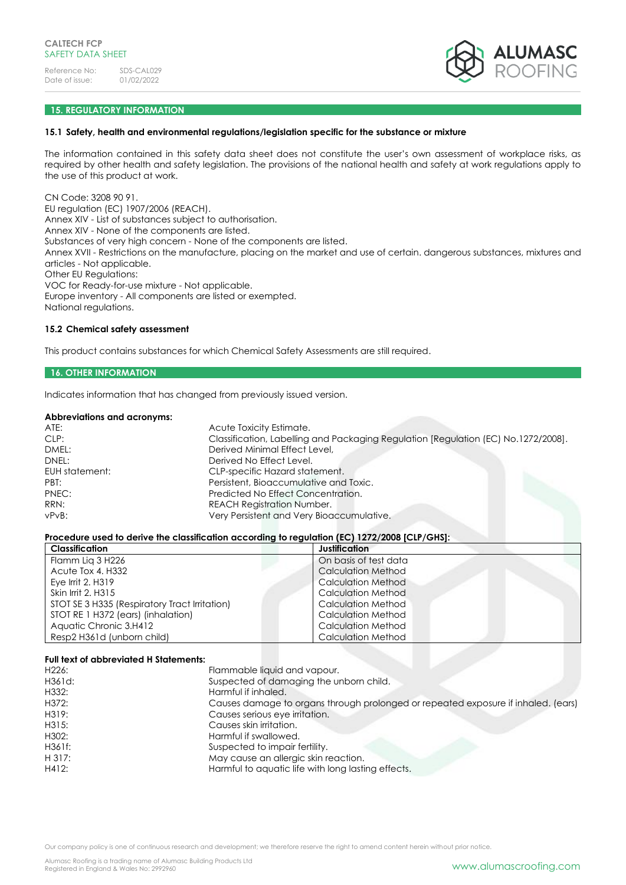

### **15. REGULATORY INFORMATION**

### **15.1 Safety, health and environmental regulations/legislation specific for the substance or mixture**

The information contained in this safety data sheet does not constitute the user's own assessment of workplace risks, as required by other health and safety legislation. The provisions of the national health and safety at work regulations apply to the use of this product at work.

CN Code: 3208 90 91. EU regulation (EC) 1907/2006 (REACH). Annex XIV - List of substances subject to authorisation. Annex XIV - None of the components are listed. Substances of very high concern - None of the components are listed. Annex XVII - Restrictions on the manufacture, placing on the market and use of certain. dangerous substances, mixtures and articles - Not applicable. Other EU Regulations: VOC for Ready-for-use mixture - Not applicable. Europe inventory - All components are listed or exempted. National regulations.

### **15.2 Chemical safety assessment**

This product contains substances for which Chemical Safety Assessments are still required.

### **16. OTHER INFORMATION**

Indicates information that has changed from previously issued version.

#### **Abbreviations and acronyms:**

| ATE:           | Acute Toxicity Estimate.                                                           |
|----------------|------------------------------------------------------------------------------------|
| CLP:           | Classification, Labelling and Packaging Regulation [Regulation (EC) No.1272/2008]. |
| DMEL:          | Derived Minimal Effect Level,                                                      |
| DNEL:          | Derived No Effect Level.                                                           |
| EUH statement: | CLP-specific Hazard statement.                                                     |
| PBT:           | Persistent, Bioaccumulative and Toxic.                                             |
| PNEC:          | Predicted No Effect Concentration.                                                 |
| RRN:           | <b>REACH Registration Number.</b>                                                  |
| $vPvB$ :       | Very Persistent and Very Bioaccumulative.                                          |
|                |                                                                                    |

### **Procedure used to derive the classification according to regulation (EC) 1272/2008 [CLP/GHS]:**

| Classification                                | Justification             |
|-----------------------------------------------|---------------------------|
| Flamm Lig 3 H226                              | On basis of test data     |
| Acute Tox 4. H332                             | <b>Calculation Method</b> |
| Eye Irrit 2, H319                             | <b>Calculation Method</b> |
| Skin Irrit 2, H315                            | <b>Calculation Method</b> |
| STOT SE 3 H335 (Respiratory Tract Irritation) | Calculation Method        |
| STOT RE 1 H372 (ears) (inhalation)            | Calculation Method        |
| Aquatic Chronic 3.H412                        | Calculation Method        |
| Resp2 H361d (unborn child)                    | <b>Calculation Method</b> |

#### **Full text of abbreviated H Statements:**

| H <sub>226</sub> : | Flammable liquid and vapour.                                                      |
|--------------------|-----------------------------------------------------------------------------------|
| H361d:             | Suspected of damaging the unborn child.                                           |
| H332:              | Harmful if inhaled.                                                               |
| H372:              | Causes damage to organs through prolonged or repeated exposure if inhaled. (ears) |
| H319:              | Causes serious eye irritation.                                                    |
| H315:              | Causes skin irritation.                                                           |
| H302:              | Harmful if swallowed.                                                             |
| H361f:             | Suspected to impair fertility.                                                    |
| H 317:             | May cause an allergic skin reaction.                                              |
| H412:              | Harmful to aquatic life with long lasting effects.                                |